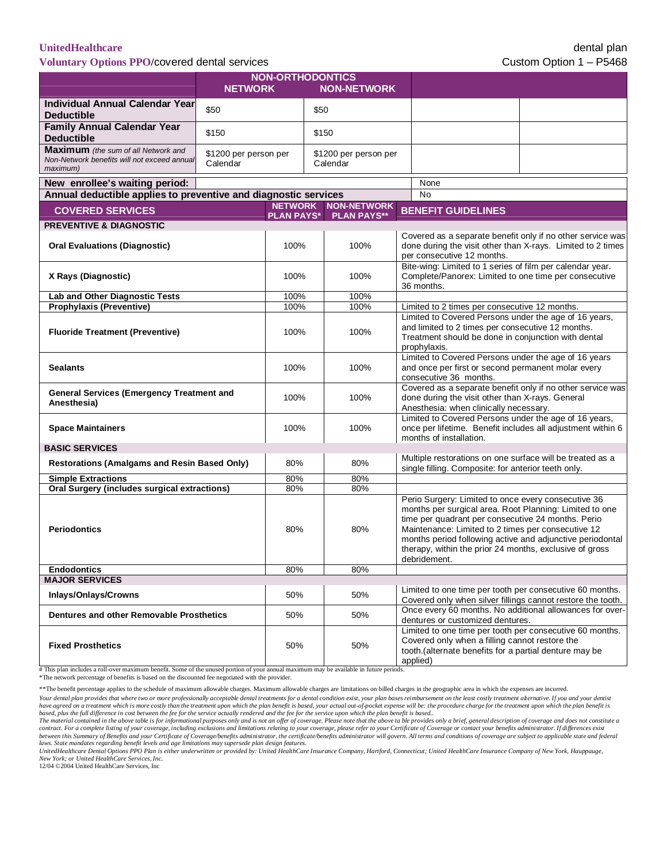**Voluntary Options PPO/covered dental services** Custom Option 1 – P5468

|                                                                                                       | <b>NON-ORTHODONTICS</b>           |                                                      |                                   |            |  |                                                                                                                                                                                                                                                                                                                                                                    |  |
|-------------------------------------------------------------------------------------------------------|-----------------------------------|------------------------------------------------------|-----------------------------------|------------|--|--------------------------------------------------------------------------------------------------------------------------------------------------------------------------------------------------------------------------------------------------------------------------------------------------------------------------------------------------------------------|--|
|                                                                                                       | <b>NETWORK</b>                    |                                                      | <b>NON-NETWORK</b>                |            |  |                                                                                                                                                                                                                                                                                                                                                                    |  |
| <b>Individual Annual Calendar Year</b><br><b>Deductible</b>                                           | \$50                              |                                                      | \$50                              |            |  |                                                                                                                                                                                                                                                                                                                                                                    |  |
| <b>Family Annual Calendar Year</b><br><b>Deductible</b>                                               | \$150                             |                                                      | \$150                             |            |  |                                                                                                                                                                                                                                                                                                                                                                    |  |
| <b>Maximum</b> (the sum of all Network and<br>Non-Network benefits will not exceed annual<br>maximum) | \$1200 per person per<br>Calendar |                                                      | \$1200 per person per<br>Calendar |            |  |                                                                                                                                                                                                                                                                                                                                                                    |  |
| New enrollee's waiting period:                                                                        |                                   |                                                      |                                   |            |  | None                                                                                                                                                                                                                                                                                                                                                               |  |
| Annual deductible applies to preventive and diagnostic services                                       |                                   |                                                      |                                   |            |  | <b>No</b>                                                                                                                                                                                                                                                                                                                                                          |  |
| <b>COVERED SERVICES</b>                                                                               |                                   | <b>NETWORK NON-NETWORK</b><br>PLAN PAYS* PLAN PAYS** |                                   |            |  | <b>BENEFIT GUIDELINES</b>                                                                                                                                                                                                                                                                                                                                          |  |
| <b>PREVENTIVE &amp; DIAGNOSTIC</b>                                                                    |                                   |                                                      |                                   |            |  |                                                                                                                                                                                                                                                                                                                                                                    |  |
| <b>Oral Evaluations (Diagnostic)</b>                                                                  |                                   | 100%                                                 |                                   | 100%       |  | Covered as a separate benefit only if no other service was<br>done during the visit other than X-rays. Limited to 2 times<br>per consecutive 12 months.                                                                                                                                                                                                            |  |
| X Rays (Diagnostic)                                                                                   |                                   | 100%                                                 |                                   | 100%       |  | Bite-wing: Limited to 1 series of film per calendar year.<br>Complete/Panorex: Limited to one time per consecutive<br>36 months.                                                                                                                                                                                                                                   |  |
| <b>Lab and Other Diagnostic Tests</b>                                                                 |                                   | 100%                                                 |                                   | 100%       |  |                                                                                                                                                                                                                                                                                                                                                                    |  |
| Prophylaxis (Preventive)                                                                              |                                   | 100%                                                 |                                   | 100%       |  | Limited to 2 times per consecutive 12 months.                                                                                                                                                                                                                                                                                                                      |  |
| <b>Fluoride Treatment (Preventive)</b>                                                                |                                   | 100%                                                 |                                   | 100%       |  | Limited to Covered Persons under the age of 16 years,<br>and limited to 2 times per consecutive 12 months.<br>Treatment should be done in conjunction with dental<br>prophylaxis.                                                                                                                                                                                  |  |
| <b>Sealants</b>                                                                                       |                                   | 100%                                                 |                                   | 100%       |  | Limited to Covered Persons under the age of 16 years<br>and once per first or second permanent molar every<br>consecutive 36 months.                                                                                                                                                                                                                               |  |
| <b>General Services (Emergency Treatment and</b><br>Anesthesia)                                       |                                   | 100%                                                 |                                   | 100%       |  | Covered as a separate benefit only if no other service was<br>done during the visit other than X-rays. General<br>Anesthesia: when clinically necessary.                                                                                                                                                                                                           |  |
| <b>Space Maintainers</b>                                                                              |                                   | 100%                                                 |                                   | 100%       |  | Limited to Covered Persons under the age of 16 years,<br>once per lifetime. Benefit includes all adjustment within 6<br>months of installation.                                                                                                                                                                                                                    |  |
| <b>BASIC SERVICES</b>                                                                                 |                                   |                                                      |                                   |            |  |                                                                                                                                                                                                                                                                                                                                                                    |  |
| <b>Restorations (Amalgams and Resin Based Only)</b>                                                   |                                   | 80%                                                  |                                   | 80%        |  | Multiple restorations on one surface will be treated as a<br>single filling. Composite: for anterior teeth only.                                                                                                                                                                                                                                                   |  |
| <b>Simple Extractions</b>                                                                             |                                   | 80%                                                  |                                   | 80%        |  |                                                                                                                                                                                                                                                                                                                                                                    |  |
| Oral Surgery (includes surgical extractions)<br><b>Periodontics</b>                                   |                                   | 80%<br>80%                                           |                                   | 80%<br>80% |  | Perio Surgery: Limited to once every consecutive 36<br>months per surgical area. Root Planning: Limited to one<br>time per quadrant per consecutive 24 months. Perio<br>Maintenance: Limited to 2 times per consecutive 12<br>months period following active and adjunctive periodontal<br>therapy, within the prior 24 months, exclusive of gross<br>debridement. |  |
| <b>Endodontics</b>                                                                                    |                                   | 80%                                                  |                                   | 80%        |  |                                                                                                                                                                                                                                                                                                                                                                    |  |
| <b>MAJOR SERVICES</b>                                                                                 |                                   |                                                      |                                   |            |  |                                                                                                                                                                                                                                                                                                                                                                    |  |
| Inlays/Onlays/Crowns                                                                                  |                                   | 50%                                                  |                                   | 50%        |  | Limited to one time per tooth per consecutive 60 months.<br>Covered only when silver fillings cannot restore the tooth.                                                                                                                                                                                                                                            |  |
| Dentures and other Removable Prosthetics                                                              |                                   | 50%                                                  |                                   | 50%        |  | Once every 60 months. No additional allowances for over-<br>dentures or customized dentures.                                                                                                                                                                                                                                                                       |  |
| <b>Fixed Prosthetics</b>                                                                              |                                   | 50%                                                  |                                   | 50%        |  | Limited to one time per tooth per consecutive 60 months.<br>Covered only when a filling cannot restore the<br>tooth.(alternate benefits for a partial denture may be<br>applied)                                                                                                                                                                                   |  |

# This plan includes a roll-over maximum benefit. Some of the unused portion of your annual maximum may be available in future periods.

\*The network percentage of benefits is based on the discounted fee negotiated with the provider.

\*\*The benefit percentage applies to the schedule of maximum allowable charges. Maximum allowable charges are limitations on billed charges in the geographic area in which the expenses are incurred.

Your dental plan provides that where two or more professionally acceptable dental treatments for a dental condition exist, your plan bases reimbursement on the least costly treatment alternative. If you and your dentist have agreed on a treatment which is more costly than the treatment upon which the plan benefit is based, your actual out-of-pocket expense will be: the procedure charge for the treatment upon which the plan benefit is<br>base

*New York; or United HealthCare Services, Inc.* 12/04 ©2004 United HealthCare Services, Inc

The material contained in the above table is for informational purposes only and is not an offer of coverage. Please note that the above ta ble provides only a brief, general description of coverage and does not constitute